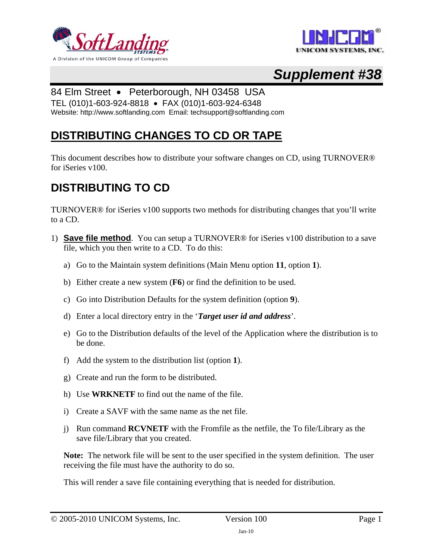



# *Supplement #38*

### 84 Elm Street • Peterborough, NH 03458 USA

TEL (010)1-603-924-8818 • FAX (010)1-603-924-6348

Website: http://www.softlanding.com Email: techsupport@softlanding.com

### **DISTRIBUTING CHANGES TO CD OR TAPE**

This document describes how to distribute your software changes on CD, using TURNOVER® for iSeries v100.

### **DISTRIBUTING TO CD**

TURNOVER® for iSeries v100 supports two methods for distributing changes that you'll write to a CD.

- 1) **Save file method**.You can setup a TURNOVER® for iSeries v100 distribution to a save file, which you then write to a CD. To do this:
	- a) Go to the Maintain system definitions (Main Menu option **11**, option **1**).
	- b) Either create a new system (**F6**) or find the definition to be used.
	- c) Go into Distribution Defaults for the system definition (option **9**).
	- d) Enter a local directory entry in the '*Target user id and address*'.
	- e) Go to the Distribution defaults of the level of the Application where the distribution is to be done.
	- f) Add the system to the distribution list (option **1**).
	- g) Create and run the form to be distributed.
	- h) Use **WRKNETF** to find out the name of the file.
	- i) Create a SAVF with the same name as the net file.
	- j) Run command **RCVNETF** with the Fromfile as the netfile, the To file/Library as the save file/Library that you created.

**Note:** The network file will be sent to the user specified in the system definition. The user receiving the file must have the authority to do so.

This will render a save file containing everything that is needed for distribution.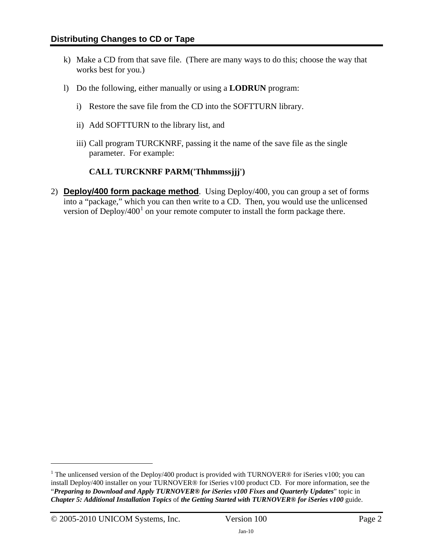- k) Make a CD from that save file. (There are many ways to do this; choose the way that works best for you.)
- l) Do the following, either manually or using a **LODRUN** program:
	- i) Restore the save file from the CD into the SOFTTURN library.
	- ii) Add SOFTTURN to the library list, and
	- iii) Call program TURCKNRF, passing it the name of the save file as the single parameter. For example:

#### **CALL TURCKNRF PARM('Thhmmssjjj')**

2) **Deploy/400 form package method**. Using Deploy/400, you can group a set of forms into a "package," which you can then write to a CD. Then, you would use the unlicensed version of Deploy/400 $^1$  $^1$  on your remote computer to install the form package there.

 $\overline{a}$ 

<span id="page-1-0"></span><sup>&</sup>lt;sup>1</sup> The unlicensed version of the Deploy/400 product is provided with TURNOVER® for iSeries v100; you can install Deploy/400 installer on your TURNOVER® for iSeries v100 product CD. For more information, see the "*Preparing to Download and Apply TURNOVER® for iSeries v100 Fixes and Quarterly Updates*" topic in *Chapter 5: Additional Installation Topics* of *the Getting Started with TURNOVER® for iSeries v100* guide.

<sup>© 2005-2010</sup> UNICOM Systems, Inc. Version 100 Page 2